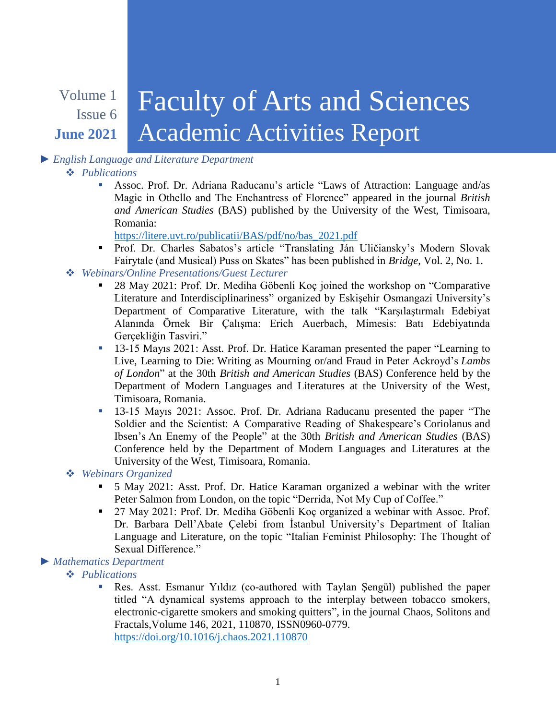#### Volume 1 Issue 6 **June 2021** Faculty of Arts and Sciences Academic Activities Report

# *► English Language and Literature Department*

# *Publications*

 Assoc. Prof. Dr. Adriana Raducanu's article "Laws of Attraction: Language and/as Magic in Othello and The Enchantress of Florence" appeared in the journal *British and American Studies* (BAS) published by the University of the West, Timisoara, Romania:

[https://litere.uvt.ro/publicatii/BAS/pdf/no/bas\\_2021.pdf](https://litere.uvt.ro/publicatii/BAS/pdf/no/bas_2021.pdf)

- Prof. Dr. Charles Sabatos's article "Translating Ján Uličiansky's Modern Slovak Fairytale (and Musical) Puss on Skates" has been published in *Bridge*, Vol. 2, No. 1.
- *Webinars/Online Presentations/Guest Lecturer*
	- 28 May 2021: Prof. Dr. Mediha Göbenli Koç joined the workshop on "Comparative Literature and Interdisciplinariness" organized by Eskişehir Osmangazi University's Department of Comparative Literature, with the talk "Karşılaştırmalı Edebiyat Alanında Örnek Bir Çalışma: Erich Auerbach, Mimesis: Batı Edebiyatında Gercekliğin Tasviri."
	- <sup>13</sup>-15 Mayıs 2021: Asst. Prof. Dr. Hatice Karaman presented the paper "Learning to Live, Learning to Die: Writing as Mourning or/and Fraud in Peter Ackroyd's *Lambs of London*" at the 30th *British and American Studies* (BAS) Conference held by the Department of Modern Languages and Literatures at the University of the West, Timisoara, Romania.
	- 13-15 Mayıs 2021: Assoc. Prof. Dr. Adriana Raducanu presented the paper "The Soldier and the Scientist: A Comparative Reading of Shakespeare's Coriolanus and Ibsen's An Enemy of the People" at the 30th *British and American Studies* (BAS) Conference held by the Department of Modern Languages and Literatures at the University of the West, Timisoara, Romania.

# *Webinars Organized*

- 5 May 2021: Asst. Prof. Dr. Hatice Karaman organized a webinar with the writer Peter Salmon from London, on the topic "Derrida, Not My Cup of Coffee."
- 27 May 2021: Prof. Dr. Mediha Göbenli Koç organized a webinar with Assoc. Prof. Dr. Barbara Dell'Abate Çelebi from İstanbul University's Department of Italian Language and Literature, on the topic "Italian Feminist Philosophy: The Thought of Sexual Difference."

# *► Mathematics Department*

*Publications*

 Res. Asst. Esmanur Yıldız (co-authored with Taylan Şengül) published the paper titled "A dynamical systems approach to the interplay between tobacco smokers, electronic-cigarette smokers and smoking quitters", in the journal Chaos, Solitons and Fractals,Volume 146, 2021, 110870, ISSN0960-0779. <https://doi.org/10.1016/j.chaos.2021.110870>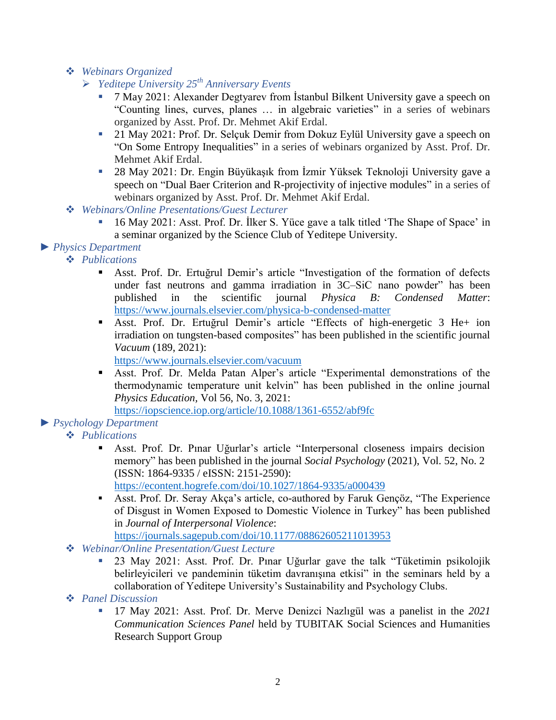- *Webinars Organized*
	- *Yeditepe University 25th Anniversary Events*
		- 7 May 2021: Alexander Degtyarev from İstanbul Bilkent University gave a speech on "Counting lines, curves, planes … in algebraic varieties" in a series of webinars organized by Asst. Prof. Dr. Mehmet Akif Erdal.
		- <sup>21</sup> May 2021: Prof. Dr. Selçuk Demir from Dokuz Eylül University gave a speech on "On Some Entropy Inequalities" in a series of webinars organized by Asst. Prof. Dr. Mehmet Akif Erdal.
		- 28 May 2021: Dr. Engin Büyükaşık from İzmir Yüksek Teknoloji University gave a speech on "Dual Baer Criterion and R-projectivity of injective modules" in a series of webinars organized by Asst. Prof. Dr. Mehmet Akif Erdal.
- *Webinars/Online Presentations/Guest Lecturer*
	- 16 May 2021: Asst. Prof. Dr. İlker S. Yüce gave a talk titled 'The Shape of Space' in a seminar organized by the Science Club of Yeditepe University.
- *► Physics Department*

# *Publications*

- Asst. Prof. Dr. Ertuğrul Demir's article "Investigation of the formation of defects under fast neutrons and gamma irradiation in 3C–SiC nano powder" has been published in the scientific journal *Physica B: Condensed Matter*: <https://www.journals.elsevier.com/physica-b-condensed-matter>
- Asst. Prof. Dr. Ertuğrul Demir's article "Effects of high-energetic 3 He+ ion irradiation on tungsten-based composites" has been published in the scientific journal *Vacuum* (189, 2021):

<https://www.journals.elsevier.com/vacuum>

 Asst. Prof. Dr. Melda Patan Alper's article "Experimental demonstrations of the thermodynamic temperature unit kelvin" has been published in the online journal *Physics Education,* Vol 56, No. 3, 2021:

<https://iopscience.iop.org/article/10.1088/1361-6552/abf9fc>

# *► Psychology Department*

- *Publications*
	- Asst. Prof. Dr. Pınar Uğurlar's article "Interpersonal closeness impairs decision memory" has been published in the journal *Social Psychology* (2021), Vol. 52, No. 2 (ISSN: 1864-9335 / eISSN: 2151-2590):

<https://econtent.hogrefe.com/doi/10.1027/1864-9335/a000439>

 Asst. Prof. Dr. Seray Akça's article, co-authored by Faruk Gençöz, "The Experience of Disgust in Women Exposed to Domestic Violence in Turkey" has been published in *Journal of Interpersonal Violence*:

<https://journals.sagepub.com/doi/10.1177/08862605211013953>

- *Webinar/Online Presentation/Guest Lecture*
	- 23 May 2021: Asst. Prof. Dr. Pınar Uğurlar gave the talk "Tüketimin psikolojik belirleyicileri ve pandeminin tüketim davranışına etkisi" in the seminars held by a collaboration of Yeditepe University's Sustainability and Psychology Clubs.
- *Panel Discussion*
	- 17 May 2021: Asst. Prof. Dr. Merve Denizci Nazlıgül was a panelist in the *2021 Communication Sciences Panel* held by TUBITAK Social Sciences and Humanities Research Support Group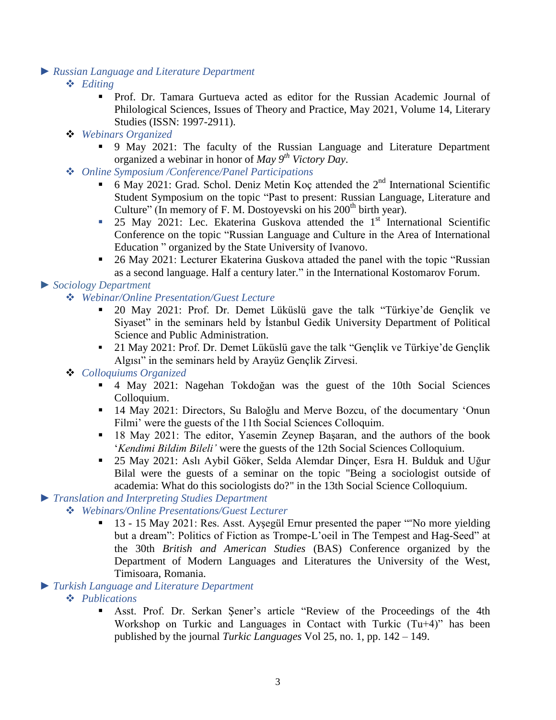#### *► Russian Language and Literature Department*

- *Editing*
	- Prof. Dr. Tamara Gurtueva acted as editor for the Russian Academic Journal of Philological Sciences, Issues of Theory and Practice, May 2021, Volume 14, Literary Studies (ISSN: 1997-2911).
- *Webinars Organized*
	- 9 May 2021: The faculty of the Russian Language and Literature Department organized a webinar in honor of *May 9th Victory Day*.
- *Online Symposium /Conference/Panel Participations* 
	- 6 May 2021: Grad. Schol. Deniz Metin Koç attended the  $2<sup>nd</sup>$  International Scientific Student Symposium on the topic "Past to present: Russian Language, Literature and Culture" (In memory of F. M. Dostoyevski on his  $200<sup>th</sup>$  birth year).
	- $\blacksquare$  25 May 2021: Lec. Ekaterina Guskova attended the 1<sup>st</sup> International Scientific Conference on the topic "Russian Language and Culture in the Area of International Education " organized by the State University of Ivanovo.
	- 26 May 2021: Lecturer Ekaterina Guskova attaded the panel with the topic "Russian as a second language. Half a century later." in the International Kostomarov Forum.

# *► Sociology Department*

- *Webinar/Online Presentation/Guest Lecture*
	- 20 May 2021: Prof. Dr. Demet Lüküslü gave the talk "Türkiye'de Gençlik ve Siyaset" in the seminars held by İstanbul Gedik University Department of Political Science and Public Administration.
	- 21 May 2021: Prof. Dr. Demet Lüküslü gave the talk "Gençlik ve Türkiye'de Gençlik Algısı" in the seminars held by Arayüz Gençlik Zirvesi.

# *Colloquiums Organized*

- 4 May 2021: Nagehan Tokdoğan was the guest of the 10th Social Sciences Colloquium.
- 14 May 2021: Directors, Su Baloğlu and Merve Bozcu, of the documentary 'Onun Filmi' were the guests of the 11th Social Sciences Colloquim.
- 18 May 2021: The editor, Yasemin Zeynep Başaran, and the authors of the book '*Kendimi Bildim Bileli'* were the guests of the 12th Social Sciences Colloquium.
- 25 May 2021: Aslı Aybil Göker, Selda Alemdar Dinçer, Esra H. Bulduk and Uğur Bilal were the guests of a seminar on the topic "Being a sociologist outside of academia: What do this sociologists do?" in the 13th Social Science Colloquium.

# *► Translation and Interpreting Studies Department*

- *Webinars/Online Presentations/Guest Lecturer*
	- <sup>13</sup> 13 15 May 2021: Res. Asst. Aysegül Ernur presented the paper "No more yielding but a dream": Politics of Fiction as Trompe-L'oeil in The Tempest and Hag-Seed" at the 30th *British and American Studies* (BAS) Conference organized by the Department of Modern Languages and Literatures the University of the West, Timisoara, Romania.

#### *► Turkish Language and Literature Department*

- *Publications*
	- Asst. Prof. Dr. Serkan Şener's article "Review of the Proceedings of the 4th Workshop on Turkic and Languages in Contact with Turkic (Tu+4)" has been published by the journal *Turkic Languages* Vol 25, no. 1, pp. 142 – 149.